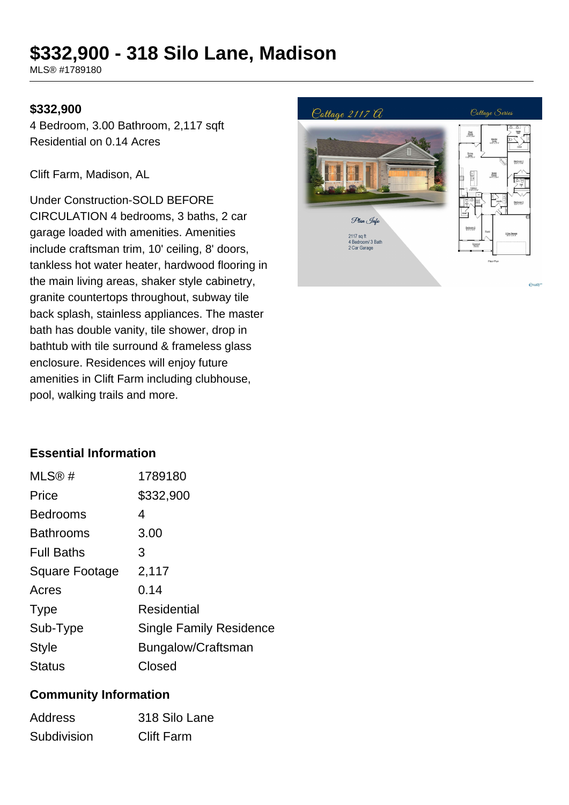# **\$332,900 - 318 Silo Lane, Madison**

MLS® #1789180

## **\$332,900**

4 Bedroom, 3.00 Bathroom, 2,117 sqft Residential on 0.14 Acres

Clift Farm, Madison, AL

Under Construction-SOLD BEFORE CIRCULATION 4 bedrooms, 3 baths, 2 car garage loaded with amenities. Amenities include craftsman trim, 10' ceiling, 8' doors, tankless hot water heater, hardwood flooring in the main living areas, shaker style cabinetry, granite countertops throughout, subway tile back splash, stainless appliances. The master bath has double vanity, tile shower, drop in bathtub with tile surround & frameless glass enclosure. Residences will enjoy future amenities in Clift Farm including clubhouse, pool, walking trails and more.



# **Essential Information**

| MLS@#             | 1789180                 |
|-------------------|-------------------------|
| Price             | \$332,900               |
| <b>Bedrooms</b>   | 4                       |
| <b>Bathrooms</b>  | 3.00                    |
| <b>Full Baths</b> | 3                       |
| Square Footage    | 2,117                   |
| Acres             | 0.14                    |
| <b>Type</b>       | Residential             |
| Sub-Type          | Single Family Residence |
| <b>Style</b>      | Bungalow/Craftsman      |
| Status            | Closed                  |

# **Community Information**

| <b>Address</b> | 318 Silo Lane     |
|----------------|-------------------|
| Subdivision    | <b>Clift Farm</b> |